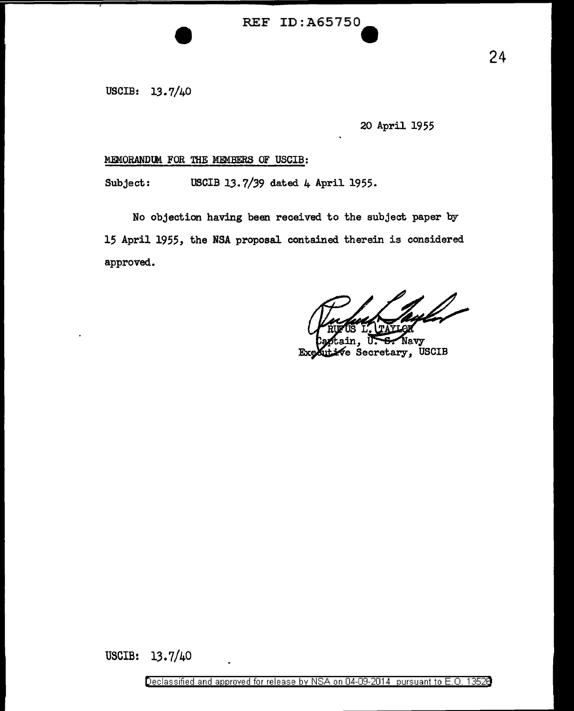## REF ID:A65750-

USCIB: 13. 7/40

20 April 1955

### MEMORANDUM FOR THE MEMBERS OF USCIB:

Subject: USCIB 13.7/39 dated 4 April 1955.

No objection having been received to the subject paper by 15 April 1955, the NSA proposal contained therein is considered approved.

Navy Secretary, USCIB Ŀ

USCIB: 13. 7/40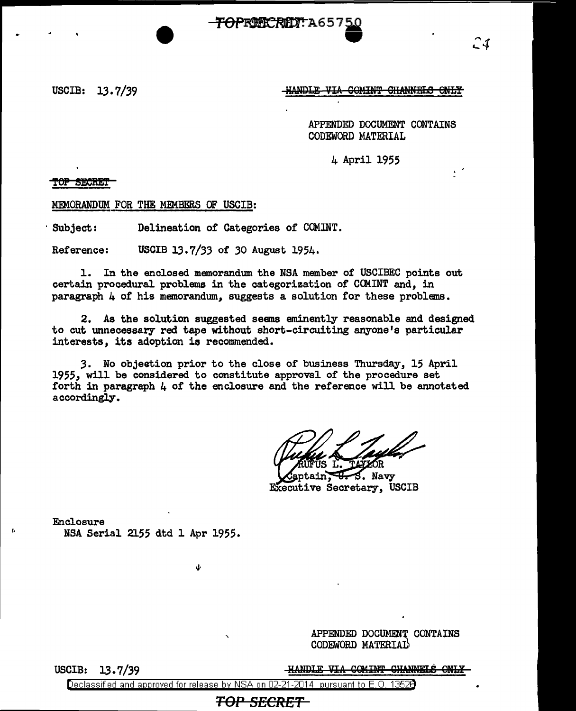**TOPRIECRET: A657 50**<br>•

USCIB: 13.7/39

**HANDLE VIA COMINT CHANNELS ONLY** 

APPENDED DOCUMENT CONTAINS CODEWORD MATERIAL

21

 $\ddot{\phantom{0}}$ 

4 April 1955

TOP SECRET

MEMORANDUM FOR THE MEMBERS OF USCIB:

Subject: Delineation of Categories of COMINT.

Reference: USCIB 13.7/33 of 30 August 1954.

1. In the enclosed memorandum the NSA member of USCIBEC points out certain procedural problems in the categorization of CCMINT and, in paragraph 4 of his memorandum, suggests a solution for these problems.

2. As the solution suggested seems eminently reasonable and designed to cut unnecessary red tape without short-circuiting anyone's particular interests, its adoption is recommended.

3. No objection prior to the close of business Thursday, 15 April 1955, will be considered to constitute approval of the procedure set forth in paragraph 4 of the enclosure and the reference will be annotated accordingly.

S. Navy Executive Secretary, USCIB

Enclosure NSA Serial 2155 dtd 1 Apr 1955.

\I·

APPENDED DOCUMENT CONTAINS CODEWORD MATERIAD

USCIB: 13. 7 */39* 

[,

HANDLE VIA COMINT CHANNELS ONLY

Declassified and approved for release by NSA on 02-21-2014 pursuant to E. 0. 1352B

**TOP SECRET**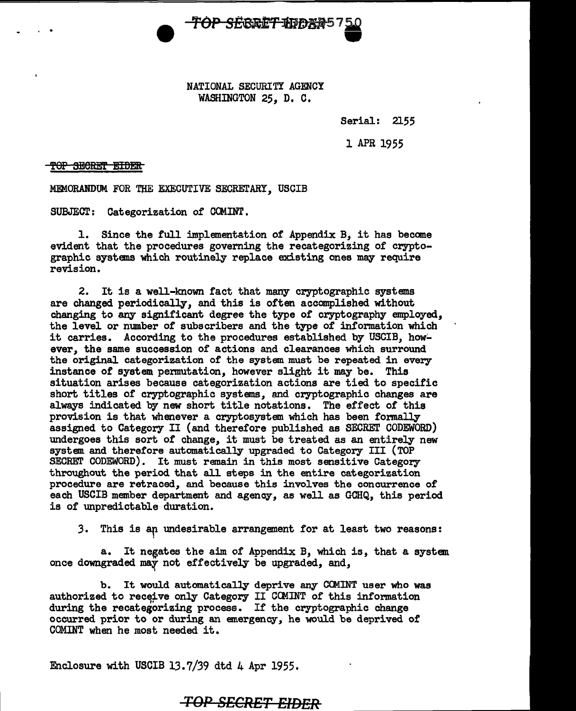

NATIONAL SECURITY AGENCY WASHINGTON *25,* D. C.

Serial: 2155

1 APR 1955

#### TOP SECRET EIDER

. .

MEMORANDUM FOR THE EXECUTIVE SECRETARY, USCIB

SUBJECT: Categorization of COMINT.

1. Since the full implementation of Appendix B, it has becane evident that the procedures governing the recategorizing of cryptographic systems which routinely replace existing ones may require revision.

2. It is a well-known fact that many cryptographic systems are changed periodically, and this is often accomplished without changing to any significant degree the type of cryptography employed, the level or number of subscribers and the type of information which it carries. According to the procedures established by USCIB, however, the same succession of actions and clearances which surround the original categorization of the system must be repeated in every instance of system permutation, however slight it may be. This situation arises because categorization actions are tied to specific short titles of cryptographic systems, and cryptographic changes are always indicated by new short title notations. The effect of this provision is that whenever a cryptosystem which has been fonnally assigned to Category II (and therefore published as SECRET CODEWORD) undergoes this sort of change, it must be treated as an entirely new system and therefore automatically upgraded to Category III (TOP SECRET CODEWORD). It must remain in this most sensitive Category throughout the period that all steps in the entire categorization procedure are retraced, and because this involves the concurrence of each USCIB member department and agency, as well as GCHQ, this period is of unpredictable duration.

3. This is an undesirable arrangement for at least two reasons:

a. It negates the aim of Appendix B, which is, that a system once downgraded may not effectively be upgraded, and.

b. It would automatically deprive any CCMINT user who was authorized to receive only Category II COMINT of this information during the recategorizing process. If the cryptographic change occurred prior to or during an emergency, he would be deprived of COMINT when he most needed it.

Enclosure with USCIB 13.7/39 dtd 4 Apr 1955.

## **TOP SECRET EIDER**